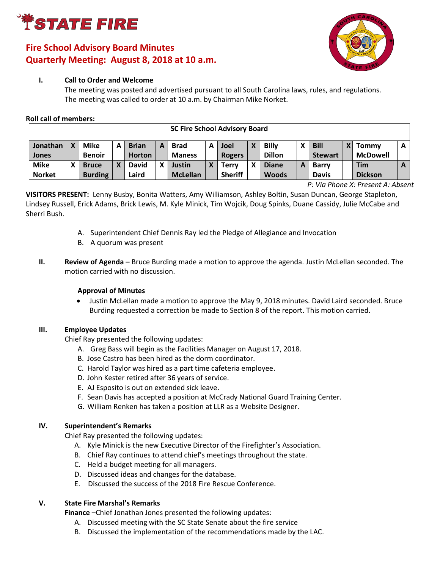

# **Fire School Advisory Board Minutes Quarterly Meeting: August 8, 2018 at 10 a.m.**



### **I. Call to Order and Welcome**

The meeting was posted and advertised pursuant to all South Carolina laws, rules, and regulations. The meeting was called to order at 10 a.m. by Chairman Mike Norket.

### **Roll call of members:**

| 3C FILE SCHOOL AUVISOLY DOGLU |  |                |  |               |   |                 |   |                |   |               |  |                |  |                 |   |
|-------------------------------|--|----------------|--|---------------|---|-----------------|---|----------------|---|---------------|--|----------------|--|-----------------|---|
| Jonathan                      |  | <b>Mike</b>    |  | <b>Brian</b>  | А | <b>Brad</b>     | A | Joel           | X | <b>Billy</b>  |  | <b>Bill</b>    |  | <b>Tommy</b>    | A |
| Jones                         |  | <b>Benoir</b>  |  | <b>Horton</b> |   | <b>Maness</b>   |   | <b>Rogers</b>  |   | <b>Dillon</b> |  | <b>Stewart</b> |  | <b>McDowell</b> |   |
| <b>Mike</b>                   |  | <b>Bruce</b>   |  | <b>David</b>  | χ | Justin          |   | Terrv          | χ | <b>Diane</b>  |  | <b>Barry</b>   |  | <b>Tim</b>      |   |
| <b>Norket</b>                 |  | <b>Burding</b> |  | Laird         |   | <b>McLellan</b> |   | <b>Sheriff</b> |   | <b>Woods</b>  |  | <b>Davis</b>   |  | <b>Dickson</b>  |   |

**SC Fire School Advisory Board**

*P: Via Phone X: Present A: Absent*

┓

**VISITORS PRESENT:** Lenny Busby, Bonita Watters, Amy Williamson, Ashley Boltin, Susan Duncan, George Stapleton, Lindsey Russell, Erick Adams, Brick Lewis, M. Kyle Minick, Tim Wojcik, Doug Spinks, Duane Cassidy, Julie McCabe and Sherri Bush.

- A. Superintendent Chief Dennis Ray led the Pledge of Allegiance and Invocation
- B. A quorum was present
- **II.** Review of Agenda Bruce Burding made a motion to approve the agenda. Justin McLellan seconded. The motion carried with no discussion.

### **Approval of Minutes**

 Justin McLellan made a motion to approve the May 9, 2018 minutes. David Laird seconded. Bruce Burding requested a correction be made to Section 8 of the report. This motion carried.

### **III. Employee Updates**

Chief Ray presented the following updates:

- A. Greg Bass will begin as the Facilities Manager on August 17, 2018.
- B. Jose Castro has been hired as the dorm coordinator.
- C. Harold Taylor was hired as a part time cafeteria employee.
- D. John Kester retired after 36 years of service.
- E. AJ Esposito is out on extended sick leave.
- F. Sean Davis has accepted a position at McCrady National Guard Training Center.
- G. William Renken has taken a position at LLR as a Website Designer.

### **IV. Superintendent's Remarks**

Chief Ray presented the following updates:

- A. Kyle Minick is the new Executive Director of the Firefighter's Association.
- B. Chief Ray continues to attend chief's meetings throughout the state.
- C. Held a budget meeting for all managers.
- D. Discussed ideas and changes for the database.
- E. Discussed the success of the 2018 Fire Rescue Conference.

### **V. State Fire Marshal's Remarks**

**Finance** –Chief Jonathan Jones presented the following updates:

- A. Discussed meeting with the SC State Senate about the fire service
- B. Discussed the implementation of the recommendations made by the LAC.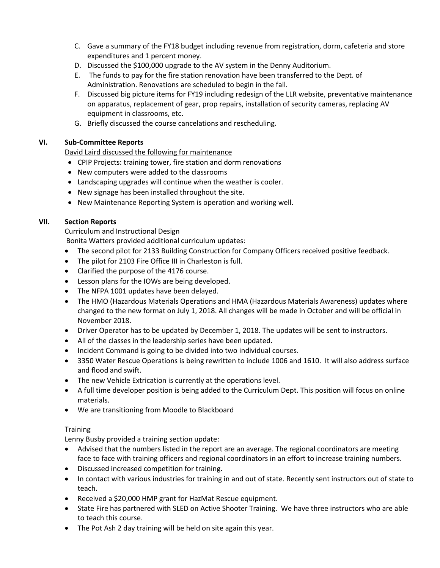- C. Gave a summary of the FY18 budget including revenue from registration, dorm, cafeteria and store expenditures and 1 percent money.
- D. Discussed the \$100,000 upgrade to the AV system in the Denny Auditorium.
- E. The funds to pay for the fire station renovation have been transferred to the Dept. of Administration. Renovations are scheduled to begin in the fall.
- F. Discussed big picture items for FY19 including redesign of the LLR website, preventative maintenance on apparatus, replacement of gear, prop repairs, installation of security cameras, replacing AV equipment in classrooms, etc.
- G. Briefly discussed the course cancelations and rescheduling.

# **VI. Sub-Committee Reports**

David Laird discussed the following for maintenance

- CPIP Projects: training tower, fire station and dorm renovations
- New computers were added to the classrooms
- Landscaping upgrades will continue when the weather is cooler.
- New signage has been installed throughout the site.
- New Maintenance Reporting System is operation and working well.

# **VII. Section Reports**

Curriculum and Instructional Design

Bonita Watters provided additional curriculum updates:

- The second pilot for 2133 Building Construction for Company Officers received positive feedback.
- The pilot for 2103 Fire Office III in Charleston is full.
- Clarified the purpose of the 4176 course.
- Lesson plans for the IOWs are being developed.
- The NFPA 1001 updates have been delayed.
- The HMO (Hazardous Materials Operations and HMA (Hazardous Materials Awareness) updates where changed to the new format on July 1, 2018. All changes will be made in October and will be official in November 2018.
- Driver Operator has to be updated by December 1, 2018. The updates will be sent to instructors.
- All of the classes in the leadership series have been updated.
- Incident Command is going to be divided into two individual courses.
- 3350 Water Rescue Operations is being rewritten to include 1006 and 1610. It will also address surface and flood and swift.
- The new Vehicle Extrication is currently at the operations level.
- A full time developer position is being added to the Curriculum Dept. This position will focus on online materials.
- We are transitioning from Moodle to Blackboard

### **Training**

Lenny Busby provided a training section update:

- Advised that the numbers listed in the report are an average. The regional coordinators are meeting face to face with training officers and regional coordinators in an effort to increase training numbers.
- Discussed increased competition for training.
- In contact with various industries for training in and out of state. Recently sent instructors out of state to teach.
- Received a \$20,000 HMP grant for HazMat Rescue equipment.
- State Fire has partnered with SLED on Active Shooter Training. We have three instructors who are able to teach this course.
- The Pot Ash 2 day training will be held on site again this year.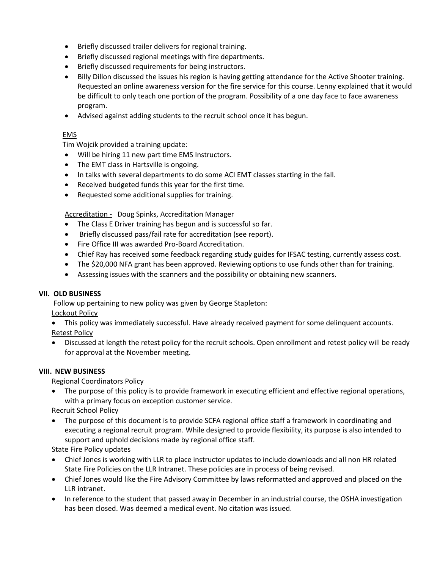- Briefly discussed trailer delivers for regional training.
- Briefly discussed regional meetings with fire departments.
- Briefly discussed requirements for being instructors.
- Billy Dillon discussed the issues his region is having getting attendance for the Active Shooter training. Requested an online awareness version for the fire service for this course. Lenny explained that it would be difficult to only teach one portion of the program. Possibility of a one day face to face awareness program.
- Advised against adding students to the recruit school once it has begun.

### EMS

Tim Wojcik provided a training update:

- Will be hiring 11 new part time EMS Instructors.
- The EMT class in Hartsville is ongoing.
- In talks with several departments to do some ACI EMT classes starting in the fall.
- Received budgeted funds this year for the first time.
- Requested some additional supplies for training.

Accreditation - Doug Spinks, Accreditation Manager

- The Class E Driver training has begun and is successful so far.
- Briefly discussed pass/fail rate for accreditation (see report).
- Fire Office III was awarded Pro-Board Accreditation.
- Chief Ray has received some feedback regarding study guides for IFSAC testing, currently assess cost.
- The \$20,000 NFA grant has been approved. Reviewing options to use funds other than for training.
- Assessing issues with the scanners and the possibility or obtaining new scanners.

### **VII. OLD BUSINESS**

Follow up pertaining to new policy was given by George Stapleton: Lockout Policy

- This policy was immediately successful. Have already received payment for some delinquent accounts. Retest Policy
- Discussed at length the retest policy for the recruit schools. Open enrollment and retest policy will be ready for approval at the November meeting.

### **VIII. NEW BUSINESS**

Regional Coordinators Policy

 The purpose of this policy is to provide framework in executing efficient and effective regional operations, with a primary focus on exception customer service.

Recruit School Policy

 The purpose of this document is to provide SCFA regional office staff a framework in coordinating and executing a regional recruit program. While designed to provide flexibility, its purpose is also intended to support and uphold decisions made by regional office staff.

State Fire Policy updates

- Chief Jones is working with LLR to place instructor updates to include downloads and all non HR related State Fire Policies on the LLR Intranet. These policies are in process of being revised.
- Chief Jones would like the Fire Advisory Committee by laws reformatted and approved and placed on the LLR intranet.
- In reference to the student that passed away in December in an industrial course, the OSHA investigation has been closed. Was deemed a medical event. No citation was issued.